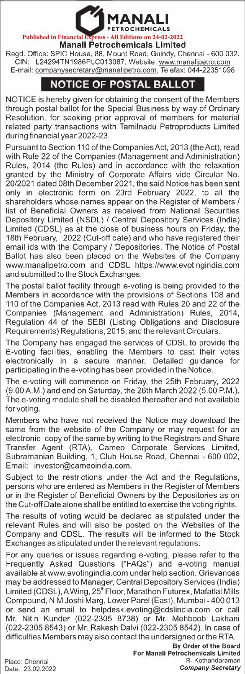

## **Manali Petrochemicals Limited**

Regd. Office: SPIC House, 88, Mount Road, Guindy, Chennai - 600 032. CIN: L24294TN1986PLC013087, Website: www.manalipetro.com E-mail: companysecretary@manalipetro.com, Telefax: 044-22351098

## **NOTICE OF POSTAL BALLOT**

NOTICE is hereby given for obtaining the consent of the Members through postal ballot for the Special Business by way of Ordinary Resolution, for seeking prior approval of members for material related party transactions with Tamilnadu Petroproducts Limited during financial year 2022-23.

Pursuant to Section 110 of the Companies Act, 2013 (the Act), read with Rule 22 of the Companies (Management and Administration) Rules, 2014 (the Rules) and in accordance with the relaxation granted by the Ministry of Corporate Affairs vide Circular No. 20/2021 dated 08th December 2021, the said Notice has been sent only in electronic form on 23rd February 2022, to all the shareholders whose names appear on the Register of Members / list of Beneficial Owners as received from National Securities Depository Limited (NSDL) / Central Depository Services (India) Limited (CDSL) as at the close of business hours on Friday, the 18th February, 2022 (Cut-off date) and who have registered their email ids with the Company / Depositories. The Notice of Postal Ballot has also been placed on the Websites of the Company www.manalipetro.com and CDSL https://www.evotingindia.com and submitted to the Stock Exchanges.

The postal ballot facility through e-voting is being provided to the Members in accordance with the provisions of Sections 108 and 110 of the Companies Act, 2013 read with Rules 20 and 22 of the Companies (Management and Administration) Rules, 2014, Regulation 44 of the SEBI (Listing Obligations and Disclosure Requirements) Regulations, 2015, and the relevant Circulars.

The Company has engaged the services of CDSL to provide the E-voting facilities, enabling the Members to cast their votes electronically in a secure manner. Detailed guidance for participating in the e-voting has been provided in the Notice.

The e-voting will commence on Friday, the 25th February, 2022 (9.00A.M.) and end on Saturday, the 26th March 2022 (5.00 P.M.). The e-voting module shall be disabled thereafter and not available for voting.

Members who have not received the Notice may download the same from the website of the Company or may request for an electronic copy of the same by writing to the Registrars and Share Transfer Agent (RTA), Cameo Corporate Services Limited, Subramanian Building, 1, Club House Road, Chennai - 600 002, Email: investor@cameoindia.com.

Subject to the restrictions under the Act and the Regulations, persons who are entered as Members in the Register of Members or in the Register of Beneficial Owners by the Depositories as on the Cut-off Date alone shall be entitled to exercise the voting rights.

The results of voting would be declared as stipulated under the relevant Rules and will also be posted on the Websites of the Company and CDSL. The results will be informed to the Stock Exchanges as stipulated under the relevant regulations.

For any queries or issues regarding e-voting, please refer to the Frequently Asked Questions ("FAQs") and e-voting manual available at www.evotingindia.com under help section. Grievances may be addressed to Manager, Central Depository Services (India) Limited (CDSL), A Wing, 25<sup>th</sup> Floor, Marathon Futurex, Mafatlal Mills Compound, **NM** Joshi Marg, Lower Parel (East), Mumbai-400 013 or send an email to helpdesk.evoting@cdslindia.com or call Mr. Nitin Kunder (022-2305 8738) or Mr. Mehboob Lakhani (022-2305 8543) or Mr. Rakesh Dalvi (022-2305 8542). In case of difficulties Members may also contact the undersigned or the RTA.